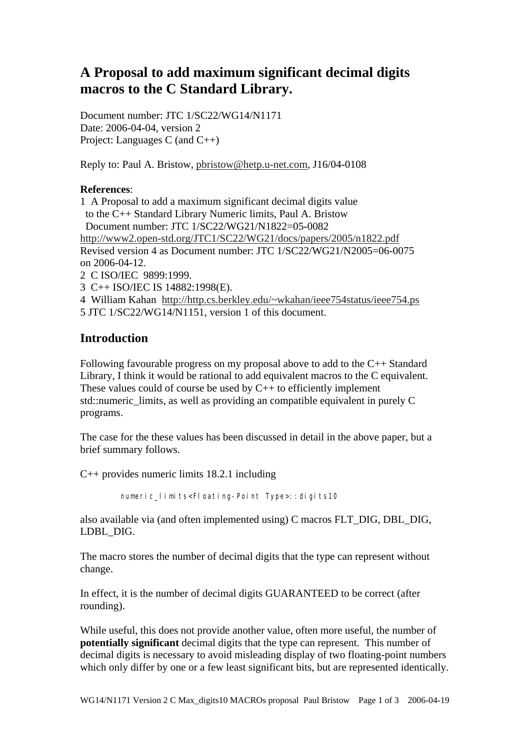# **A Proposal to add maximum significant decimal digits macros to the C Standard Library.**

Document number: JTC 1/SC22/WG14/N1171 Date: 2006-04-04, version 2 Project: Languages C (and C++)

Reply to: Paul A. Bristow, pbristow@hetp.u-net.com, J16/04-0108

#### **References**:

1 A Proposal to add a maximum significant decimal digits value to the C++ Standard Library Numeric limits, Paul A. Bristow Document number: JTC 1/SC22/WG21/N1822=05-0082 http://www2.open-std.org/JTC1/SC22/WG21/docs/papers/2005/n1822.pdf Revised version 4 as Document number: JTC 1/SC22/WG21/N2005=06-0075 on 2006-04-12. 2 C ISO/IEC 9899:1999.

3 C++ ISO/IEC IS 14882:1998(E).

4 William Kahan http://http.cs.berkley.edu/~wkahan/ieee754status/ieee754.ps 5 JTC 1/SC22/WG14/N1151, version 1 of this document.

## **Introduction**

Following favourable progress on my proposal above to add to the C++ Standard Library, I think it would be rational to add equivalent macros to the C equivalent. These values could of course be used by C++ to efficiently implement std::numeric\_limits, as well as providing an compatible equivalent in purely C programs.

The case for the these values has been discussed in detail in the above paper, but a brief summary follows.

C++ provides numeric limits 18.2.1 including

numeric\_limits<Floating-Point Type>::digits10

also available via (and often implemented using) C macros FLT\_DIG, DBL\_DIG, LDBL\_DIG.

The macro stores the number of decimal digits that the type can represent without change.

In effect, it is the number of decimal digits GUARANTEED to be correct (after rounding).

While useful, this does not provide another value, often more useful, the number of **potentially significant** decimal digits that the type can represent. This number of decimal digits is necessary to avoid misleading display of two floating-point numbers which only differ by one or a few least significant bits, but are represented identically.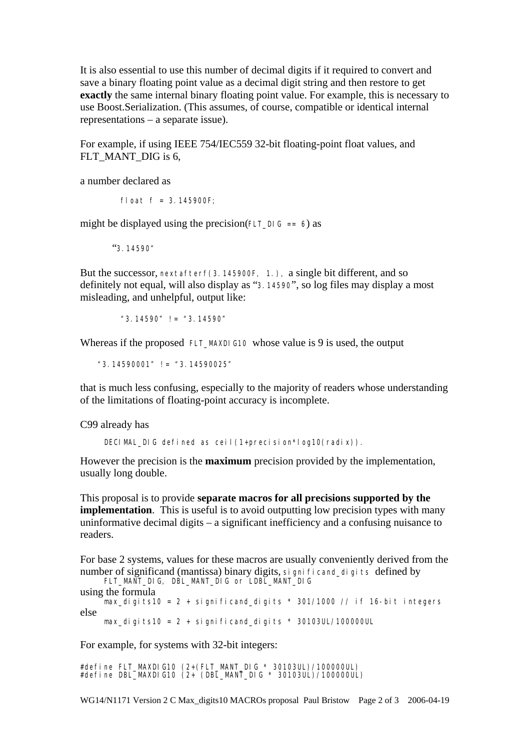It is also essential to use this number of decimal digits if it required to convert and save a binary floating point value as a decimal digit string and then restore to get **exactly** the same internal binary floating point value. For example, this is necessary to use Boost.Serialization. (This assumes, of course, compatible or identical internal representations – a separate issue).

For example, if using IEEE 754/IEC559 32-bit floating-point float values, and FLT\_MANT\_DIG is 6,

a number declared as

float  $f = 3.145900F$ ;

might be displayed using the precision(FLT DIG == 6) as

"3.14590"

But the successor, nextafterf(3.145900F, 1.), a single bit different, and so definitely not equal, will also display as "3.14590", so log files may display a most misleading, and unhelpful, output like:

"3.14590" != "3.14590"

Whereas if the proposed FLT\_MAXDIG10 whose value is 9 is used, the output

"3.14590001" != "3.14590025"

that is much less confusing, especially to the majority of readers whose understanding of the limitations of floating-point accuracy is incomplete.

C99 already has

DECIMAL\_DIG defined as ceil(1+precision\*log10(radix)).

However the precision is the **maximum** precision provided by the implementation, usually long double.

This proposal is to provide **separate macros for all precisions supported by the implementation**. This is useful is to avoid outputting low precision types with many uninformative decimal digits – a significant inefficiency and a confusing nuisance to readers.

```
For base 2 systems, values for these macros are usually conveniently derived from the 
number of significand (mantissa) binary digits, significand digits defined by
      FLT_MANT_DIG, DBL_MANT_DIG or LDBL_MANT_DIG 
using the formula 
     max\_di gits10 = 2 + significand_digits * 301/1000 // if 16-bit integers
else
     max_digits10 = 2 + \sin \theta fi cand_digits * 30103UL/100000UL
```
For example, for systems with 32-bit integers:

#define FLT\_MAXDIG10 (2+(FLT\_MANT\_DIG \* 30103UL)/100000UL) #define DBL\_MAXDIG10 (2+ (DBL\_MANT\_DIG \* 30103UL)/100000UL)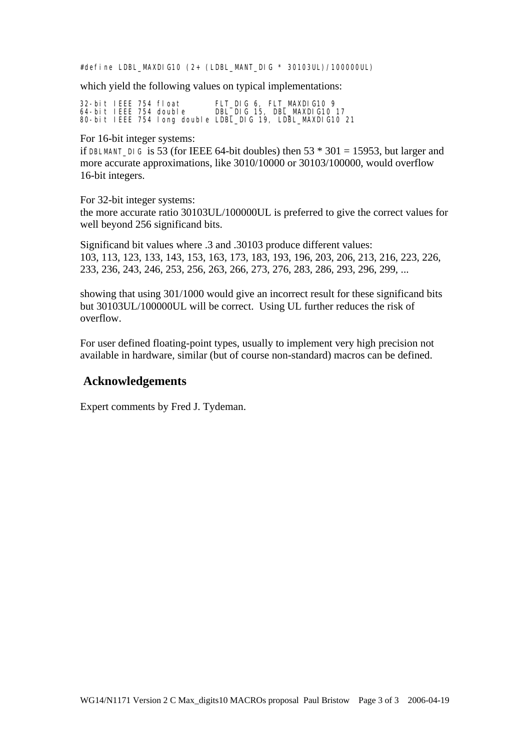#define LDBL\_MAXDIG10 (2+ (LDBL\_MANT\_DIG \* 30103UL)/100000UL)

which yield the following values on typical implementations:

32-bit IEEE 754 float FLT\_DIG 6, FLT\_MAXDIG10 9 64-bit IEEE 754 double DBL\_DIG 15, DBL\_MAXDIG10 17 80-bit IEEE 754 long double LDBL\_DIG 19, LDBL\_MAXDIG10 21

For 16-bit integer systems:

if DBLMANT\_DIG is 53 (for IEEE 64-bit doubles) then  $53 * 301 = 15953$ , but larger and more accurate approximations, like 3010/10000 or 30103/100000, would overflow 16-bit integers.

For 32-bit integer systems:

the more accurate ratio 30103UL/100000UL is preferred to give the correct values for well beyond 256 significand bits.

Significand bit values where .3 and .30103 produce different values: 103, 113, 123, 133, 143, 153, 163, 173, 183, 193, 196, 203, 206, 213, 216, 223, 226, 233, 236, 243, 246, 253, 256, 263, 266, 273, 276, 283, 286, 293, 296, 299, ...

showing that using 301/1000 would give an incorrect result for these significand bits but 30103UL/100000UL will be correct. Using UL further reduces the risk of overflow.

For user defined floating-point types, usually to implement very high precision not available in hardware, similar (but of course non-standard) macros can be defined.

#### **Acknowledgements**

Expert comments by Fred J. Tydeman.